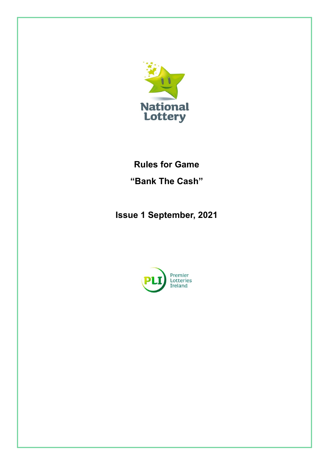

# **Rules for Game "Bank The Cash"**

**Issue 1 September, 2021**

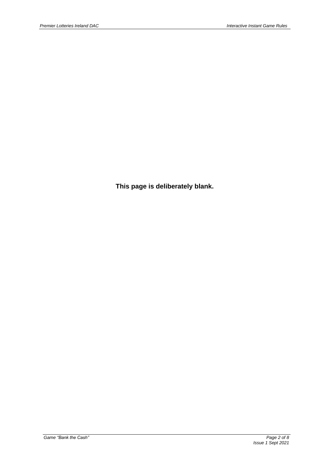**This page is deliberately blank.**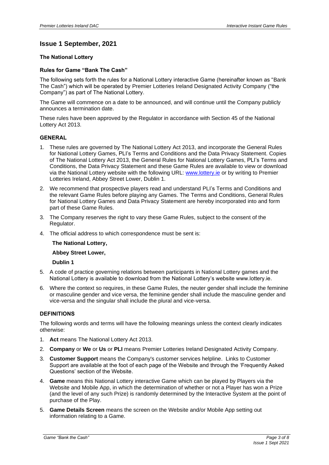# **Issue 1 September, 2021**

#### **The National Lottery**

#### **Rules for Game "Bank The Cash"**

The following sets forth the rules for a National Lottery interactive Game (hereinafter known as "Bank The Cash") which will be operated by Premier Lotteries Ireland Designated Activity Company ("the Company") as part of The National Lottery.

The Game will commence on a date to be announced, and will continue until the Company publicly announces a termination date.

These rules have been approved by the Regulator in accordance with Section 45 of the National Lottery Act 2013.

#### **GENERAL**

- 1. These rules are governed by The National Lottery Act 2013, and incorporate the General Rules for National Lottery Games, PLI's Terms and Conditions and the Data Privacy Statement. Copies of The National Lottery Act 2013, the General Rules for National Lottery Games, PLI's Terms and Conditions, the Data Privacy Statement and these Game Rules are available to view or download via the National Lottery website with the following URL: [www.lottery.ie](http://www.lotto.ie/) or by writing to Premier Lotteries Ireland, Abbey Street Lower, Dublin 1.
- 2. We recommend that prospective players read and understand PLI's Terms and Conditions and the relevant Game Rules before playing any Games. The Terms and Conditions, General Rules for National Lottery Games and Data Privacy Statement are hereby incorporated into and form part of these Game Rules.
- 3. The Company reserves the right to vary these Game Rules, subject to the consent of the Regulator.
- 4. The official address to which correspondence must be sent is:

#### **The National Lottery,**

#### **Abbey Street Lower,**

**Dublin 1**

- 5. A code of practice governing relations between participants in National Lottery games and the National Lottery is available to download from the National Lottery's website www.lottery.ie.
- 6. Where the context so requires, in these Game Rules, the neuter gender shall include the feminine or masculine gender and vice versa, the feminine gender shall include the masculine gender and vice-versa and the singular shall include the plural and vice-versa.

## **DEFINITIONS**

The following words and terms will have the following meanings unless the context clearly indicates otherwise:

- 1. **Act** means The National Lottery Act 2013.
- 2. **Company** or **We** or **Us** or **PLI** means Premier Lotteries Ireland Designated Activity Company.
- 3. **Customer Support** means the Company's customer services helpline. Links to Customer Support are available at the foot of each page of the Website and through the 'Frequently Asked Questions' section of the Website.
- 4. **Game** means this National Lottery interactive Game which can be played by Players via the Website and Mobile App, in which the determination of whether or not a Player has won a Prize (and the level of any such Prize) is randomly determined by the Interactive System at the point of purchase of the Play.
- 5. **Game Details Screen** means the screen on the Website and/or Mobile App setting out information relating to a Game.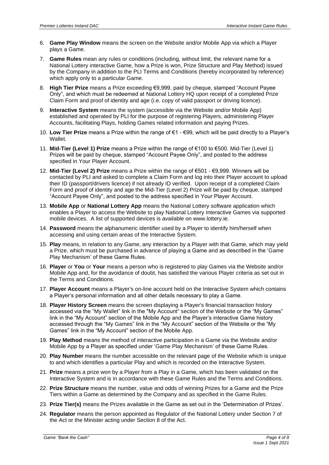- 6. **Game Play Window** means the screen on the Website and/or Mobile App via which a Player plays a Game.
- 7. **Game Rules** mean any rules or conditions (including, without limit, the relevant name for a National Lottery interactive Game, how a Prize is won, Prize Structure and Play Method) issued by the Company in addition to the PLI Terms and Conditions (hereby incorporated by reference) which apply only to a particular Game.
- 8. **High Tier Prize** means a Prize exceeding €9,999, paid by cheque, stamped "Account Payee Only", and which must be redeemed at National Lottery HQ upon receipt of a completed Prize Claim Form and proof of identity and age (i.e. copy of valid passport or driving licence).
- 9. **Interactive System** means the system (accessible via the Website and/or Mobile App) established and operated by PLI for the purpose of registering Players, administering Player Accounts, facilitating Plays, holding Games related information and paying Prizes.
- 10. **Low Tier Prize** means a Prize within the range of €1 €99, which will be paid directly to a Player's Wallet.
- 11. **Mid-Tier (Level 1) Prize** means a Prize within the range of €100 to €500. Mid-Tier (Level 1) Prizes will be paid by cheque, stamped "Account Payee Only", and posted to the address specified in Your Player Account.
- 12. **Mid-Tier (Level 2) Prize** means a Prize within the range of €501 €9,999. Winners will be contacted by PLI and asked to complete a Claim Form and log into their Player account to upload their ID (passport/drivers licence) if not already ID verified. Upon receipt of a completed Claim Form and proof of identity and age the Mid-Tier (Level 2) Prize will be paid by cheque, stamped "Account Payee Only", and posted to the address specified in Your Player Account.
- 13. **Mobile App** or **National Lottery App** means the National Lottery software application which enables a Player to access the Website to play National Lottery Interactive Games via supported mobile devices. A list of supported devices is available on www.lottery.ie.
- 14. **Password** means the alphanumeric identifier used by a Player to identify him/herself when accessing and using certain areas of the Interactive System.
- 15. **Play** means, in relation to any Game, any interaction by a Player with that Game, which may yield a Prize, which must be purchased in advance of playing a Game and as described in the 'Game Play Mechanism' of these Game Rules.
- 16. **Player** or **You** or **Your** means a person who is registered to play Games via the Website and/or Mobile App and, for the avoidance of doubt, has satisfied the various Player criteria as set out in the Terms and Conditions.
- 17. **Player Account** means a Player's on-line account held on the Interactive System which contains a Player's personal information and all other details necessary to play a Game.
- 18. **Player History Screen** means the screen displaying a Player's financial transaction history accessed via the "My Wallet" link in the "My Account" section of the Website or the "My Games" link in the "My Account" section of the Mobile App and the Player's interactive Game history accessed through the "My Games" link in the "My Account" section of the Website or the "My Games" link in the "My Account" section of the Mobile App.
- 19. **Play Method** means the method of interactive participation in a Game via the Website and/or Mobile App by a Player as specified under 'Game Play Mechanism' of these Game Rules.
- 20. **Play Number** means the number accessible on the relevant page of the Website which is unique to and which identifies a particular Play and which is recorded on the Interactive System.
- 21. **Prize** means a prize won by a Player from a Play in a Game, which has been validated on the Interactive System and is in accordance with these Game Rules and the Terms and Conditions.
- 22. **Prize Structure** means the number, value and odds of winning Prizes for a Game and the Prize Tiers within a Game as determined by the Company and as specified in the Game Rules.
- 23. **Prize Tier(s)** means the Prizes available in the Game as set out in the 'Determination of Prizes'.
- 24. **Regulator** means the person appointed as Regulator of the National Lottery under Section 7 of the Act or the Minister acting under Section 8 of the Act.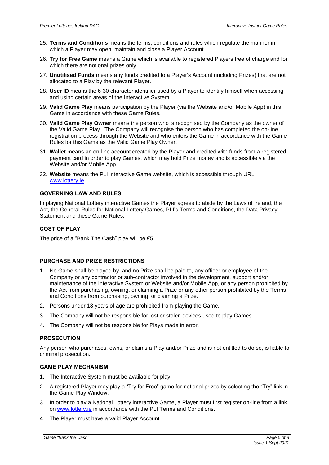- 25. **Terms and Conditions** means the terms, conditions and rules which regulate the manner in which a Player may open, maintain and close a Player Account.
- 26. **Try for Free Game** means a Game which is available to registered Players free of charge and for which there are notional prizes only.
- 27. **Unutilised Funds** means any funds credited to a Player's Account (including Prizes) that are not allocated to a Play by the relevant Player.
- 28. **User ID** means the 6-30 character identifier used by a Player to identify himself when accessing and using certain areas of the Interactive System.
- 29. **Valid Game Play** means participation by the Player (via the Website and/or Mobile App) in this Game in accordance with these Game Rules.
- 30. **Valid Game Play Owner** means the person who is recognised by the Company as the owner of the Valid Game Play. The Company will recognise the person who has completed the on-line registration process through the Website and who enters the Game in accordance with the Game Rules for this Game as the Valid Game Play Owner.
- 31. **Wallet** means an on-line account created by the Player and credited with funds from a registered payment card in order to play Games, which may hold Prize money and is accessible via the Website and/or Mobile App.
- 32. **Website** means the PLI interactive Game website, which is accessible through URL www.lottery.ie.

## **GOVERNING LAW AND RULES**

In playing National Lottery interactive Games the Player agrees to abide by the Laws of Ireland, the Act, the General Rules for National Lottery Games, PLI's Terms and Conditions, the Data Privacy Statement and these Game Rules.

## **COST OF PLAY**

The price of a "Bank The Cash" play will be €5.

## **PURCHASE AND PRIZE RESTRICTIONS**

- 1. No Game shall be played by, and no Prize shall be paid to, any officer or employee of the Company or any contractor or sub-contractor involved in the development, support and/or maintenance of the Interactive System or Website and/or Mobile App, or any person prohibited by the Act from purchasing, owning, or claiming a Prize or any other person prohibited by the Terms and Conditions from purchasing, owning, or claiming a Prize.
- 2. Persons under 18 years of age are prohibited from playing the Game.
- 3. The Company will not be responsible for lost or stolen devices used to play Games.
- 4. The Company will not be responsible for Plays made in error.

#### **PROSECUTION**

Any person who purchases, owns, or claims a Play and/or Prize and is not entitled to do so, is liable to criminal prosecution.

## **GAME PLAY MECHANISM**

- 1. The Interactive System must be available for play.
- 2. A registered Player may play a "Try for Free" game for notional prizes by selecting the "Try" link in the Game Play Window.
- 3. In order to play a National Lottery interactive Game, a Player must first register on-line from a link on [www.lottery.ie](http://www.lotto.ie/) in accordance with the PLI Terms and Conditions.
- 4. The Player must have a valid Player Account.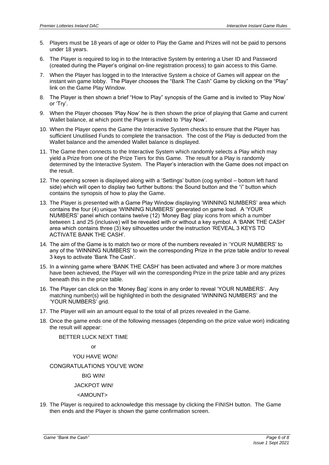- 5. Players must be 18 years of age or older to Play the Game and Prizes will not be paid to persons under 18 years.
- 6. The Player is required to log in to the Interactive System by entering a User ID and Password (created during the Player's original on-line registration process) to gain access to this Game.
- 7. When the Player has logged in to the Interactive System a choice of Games will appear on the instant win game lobby. The Player chooses the "Bank The Cash" Game by clicking on the "Play" link on the Game Play Window.
- 8. The Player is then shown a brief "How to Play" synopsis of the Game and is invited to 'Play Now' or 'Try'.
- 9. When the Player chooses 'Play Now' he is then shown the price of playing that Game and current Wallet balance, at which point the Player is invited to 'Play Now'.
- 10. When the Player opens the Game the Interactive System checks to ensure that the Player has sufficient Unutilised Funds to complete the transaction. The cost of the Play is deducted from the Wallet balance and the amended Wallet balance is displayed.
- 11. The Game then connects to the Interactive System which randomly selects a Play which may yield a Prize from one of the Prize Tiers for this Game. The result for a Play is randomly determined by the Interactive System. The Player's interaction with the Game does not impact on the result.
- 12. The opening screen is displayed along with a 'Settings' button (cog symbol bottom left hand side) which will open to display two further buttons: the Sound button and the "i" button which contains the synopsis of how to play the Game.
- 13. The Player is presented with a Game Play Window displaying 'WINNING NUMBERS' area which contains the four (4) unique 'WINNING NUMBERS' generated on game load. A 'YOUR NUMBERS' panel which contains twelve (12) 'Money Bag' play icons from which a number between 1 and 25 (inclusive) will be revealed with or without a key symbol. A 'BANK THE CASH' area which contains three (3) key silhouettes under the instruction 'REVEAL 3 KEYS TO ACTIVATE BANK THE CASH'.
- 14. The aim of the Game is to match two or more of the numbers revealed in 'YOUR NUMBERS' to any of the 'WINNING NUMBERS' to win the corresponding Prize in the prize table and/or to reveal 3 keys to activate 'Bank The Cash'.
- 15. In a winning game where 'BANK THE CASH' has been activated and where 3 or more matches have been achieved, the Player will win the corresponding Prize in the prize table and any prizes beneath this in the prize table.
- 16. The Player can click on the 'Money Bag' icons in any order to reveal 'YOUR NUMBERS'. Any matching number(s) will be highlighted in both the designated 'WINNING NUMBERS' and the 'YOUR NUMBERS' grid.
- 17. The Player will win an amount equal to the total of all prizes revealed in the Game.
- 18. Once the game ends one of the following messages (depending on the prize value won) indicating the result will appear:

BETTER LUCK NEXT TIME

or

## YOU HAVE WON!

## CONGRATULATIONS YOU'VE WON!

#### BIG WIN!

#### JACKPOT WIN!

#### <AMOUNT>

19. The Player is required to acknowledge this message by clicking the FINISH button. The Game then ends and the Player is shown the game confirmation screen.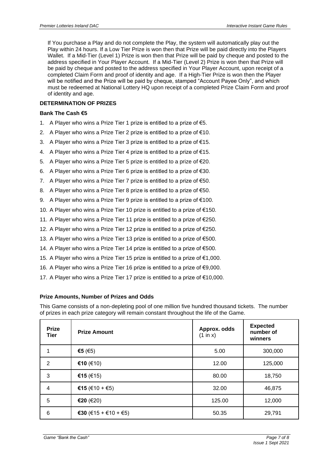If You purchase a Play and do not complete the Play, the system will automatically play out the Play within 24 hours. If a Low Tier Prize is won then that Prize will be paid directly into the Players Wallet. If a Mid-Tier (Level 1) Prize is won then that Prize will be paid by cheque and posted to the address specified in Your Player Account. If a Mid-Tier (Level 2) Prize is won then that Prize will be paid by cheque and posted to the address specified in Your Player Account, upon receipt of a completed Claim Form and proof of identity and age. If a High-Tier Prize is won then the Player will be notified and the Prize will be paid by cheque, stamped "Account Payee Only", and which must be redeemed at National Lottery HQ upon receipt of a completed Prize Claim Form and proof of identity and age.

## **DETERMINATION OF PRIZES**

#### **Bank The Cash €5**

- 1. A Player who wins a Prize Tier 1 prize is entitled to a prize of  $65$ .
- 2. A Player who wins a Prize Tier 2 prize is entitled to a prize of  $\epsilon$ 10.
- 3. A Player who wins a Prize Tier 3 prize is entitled to a prize of €15.
- 4. A Player who wins a Prize Tier 4 prize is entitled to a prize of €15.
- 5. A Player who wins a Prize Tier 5 prize is entitled to a prize of €20.
- 6. A Player who wins a Prize Tier 6 prize is entitled to a prize of €30.
- 7. A Player who wins a Prize Tier 7 prize is entitled to a prize of  $\epsilon$ 50.
- 8. A Player who wins a Prize Tier 8 prize is entitled to a prize of €50.
- 9. A Player who wins a Prize Tier 9 prize is entitled to a prize of €100.
- 10. A Player who wins a Prize Tier 10 prize is entitled to a prize of €150.
- 11. A Player who wins a Prize Tier 11 prize is entitled to a prize of €250.
- 12. A Player who wins a Prize Tier 12 prize is entitled to a prize of €250.
- 13. A Player who wins a Prize Tier 13 prize is entitled to a prize of €500.
- 14. A Player who wins a Prize Tier 14 prize is entitled to a prize of €500.
- 15. A Player who wins a Prize Tier 15 prize is entitled to a prize of €1,000.
- 16. A Player who wins a Prize Tier 16 prize is entitled to a prize of €9,000.
- 17. A Player who wins a Prize Tier 17 prize is entitled to a prize of €10,000.

## **Prize Amounts, Number of Prizes and Odds**

This Game consists of a non-depleting pool of one million five hundred thousand tickets. The number of prizes in each prize category will remain constant throughout the life of the Game.

| <b>Prize</b><br>Tier | <b>Prize Amount</b>  | Approx. odds<br>$(1 \text{ in } x)$ | <b>Expected</b><br>number of<br>winners |
|----------------------|----------------------|-------------------------------------|-----------------------------------------|
|                      | €5 (€5)              | 5.00                                | 300,000                                 |
| 2                    | €10 (€10)            | 12.00                               | 125,000                                 |
| 3                    | €15 (€15)            | 80.00                               | 18,750                                  |
| 4                    | €15 (€10 + €5)       | 32.00                               | 46,875                                  |
| 5                    | €20 (€20)            | 125.00                              | 12,000                                  |
| 6                    | €30 (€15 + €10 + €5) | 50.35                               | 29,791                                  |